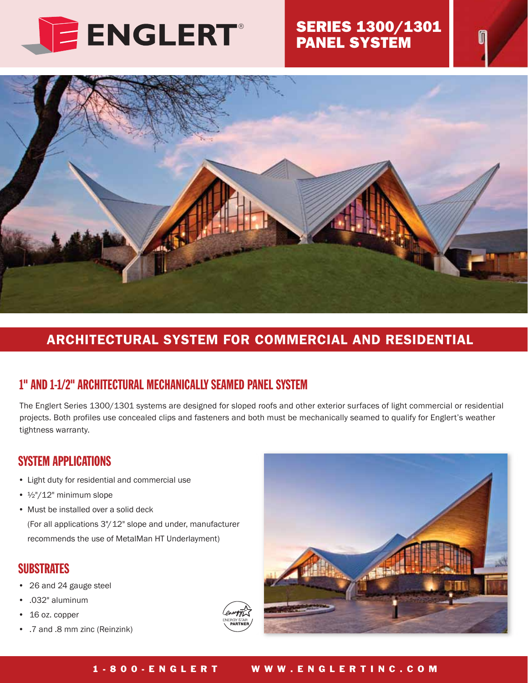

### ® SERIES 1300/1301 PANEL SYSTEM



# ARCHITECTURAL SYSTEM FOR COMMERCIAL AND RESIDENTIAL

### 1" AND 1-1/2" ARCHITECTURAL MECHANICALLY SEAMED PANEL SYSTEM

The Englert Series 1300/1301 systems are designed for sloped roofs and other exterior surfaces of light commercial or residential projects. Both profiles use concealed clips and fasteners and both must be mechanically seamed to qualify for Englert's weather tightness warranty.

### SYSTEM APPLICATIONS

- Light duty for residential and commercial use
- ½"/12" minimum slope
- Must be installed over a solid deck

 (For all applications 3"/12" slope and under, manufacturer recommends the use of MetalMan HT Underlayment)

### **SUBSTRATES**

- 26 and 24 gauge steel
- .032" aluminum
- 16 oz. copper
- .7 and .8 mm zinc (Reinzink)



#### 1-800-ENGLERT WWW.ENGLERTINC.COM